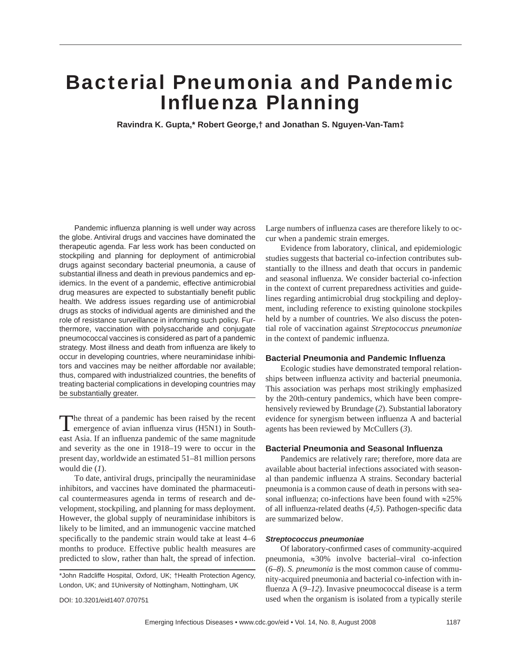# Bacterial Pneumonia and Pandemic **Influenza Planning**

**Ravindra K. Gupta,\* Robert George,† and Jonathan S. Nguyen-Van-Tam‡**

Pandemic influenza planning is well under way across the globe. Antiviral drugs and vaccines have dominated the therapeutic agenda. Far less work has been conducted on stockpiling and planning for deployment of antimicrobial drugs against secondary bacterial pneumonia, a cause of substantial illness and death in previous pandemics and epidemics. In the event of a pandemic, effective antimicrobial drug measures are expected to substantially benefit public health. We address issues regarding use of antimicrobial drugs as stocks of individual agents are diminished and the role of resistance surveillance in informing such policy. Furthermore, vaccination with polysaccharide and conjugate pneumococcal vaccines is considered as part of a pandemic strategy. Most illness and death from influenza are likely to occur in developing countries, where neuraminidase inhibitors and vaccines may be neither affordable nor available; thus, compared with industrialized countries, the benefits of treating bacterial complications in developing countries may be substantially greater.

The threat of a pandemic has been raised by the recent emergence of avian influenza virus (H5N1) in Southeast Asia. If an influenza pandemic of the same magnitude and severity as the one in 1918–19 were to occur in the present day, worldwide an estimated 51–81 million persons would die (*1*).

To date, antiviral drugs, principally the neuraminidase inhibitors, and vaccines have dominated the pharmaceutical countermeasures agenda in terms of research and development, stockpiling, and planning for mass deployment. However, the global supply of neuraminidase inhibitors is likely to be limited, and an immunogenic vaccine matched specifically to the pandemic strain would take at least 4–6 months to produce. Effective public health measures are predicted to slow, rather than halt, the spread of infection.

DOI: 10.3201/eid1407.070751

Large numbers of influenza cases are therefore likely to occur when a pandemic strain emerges.

Evidence from laboratory, clinical, and epidemiologic studies suggests that bacterial co-infection contributes substantially to the illness and death that occurs in pandemic and seasonal influenza. We consider bacterial co-infection in the context of current preparedness activities and guidelines regarding antimicrobial drug stockpiling and deployment, including reference to existing quinolone stockpiles held by a number of countries. We also discuss the potential role of vaccination against *Streptococcus pneumoniae* in the context of pandemic influenza.

# **Bacterial Pneumonia and Pandemic Infl uenza**

Ecologic studies have demonstrated temporal relationships between influenza activity and bacterial pneumonia. This association was perhaps most strikingly emphasized by the 20th-century pandemics, which have been comprehensively reviewed by Brundage (*2*). Substantial laboratory evidence for synergism between influenza A and bacterial agents has been reviewed by McCullers (*3*).

## **Bacterial Pneumonia and Seasonal Infl uenza**

Pandemics are relatively rare; therefore, more data are available about bacterial infections associated with seasonal than pandemic influenza A strains. Secondary bacterial pneumonia is a common cause of death in persons with seasonal influenza; co-infections have been found with  $\approx 25\%$ of all influenza-related deaths (4,5). Pathogen-specific data are summarized below.

#### *Streptococcus pneumoniae*

Of laboratory-confirmed cases of community-acquired pneumonia, ≈30% involve bacterial–viral co-infection (*6*–*8*). *S. pneumonia* is the most common cause of community-acquired pneumonia and bacterial co-infection with influenza  $A(9-12)$ . Invasive pneumococcal disease is a term used when the organism is isolated from a typically sterile

<sup>\*</sup>John Radcliffe Hospital, Oxford, UK; †Health Protection Agency, London, UK; and ‡University of Nottingham, Nottingham, UK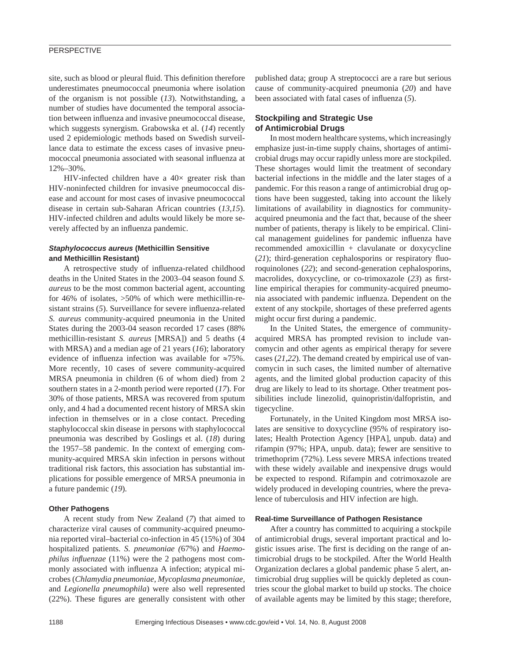# **PERSPECTIVE**

site, such as blood or pleural fluid. This definition therefore underestimates pneumococcal pneumonia where isolation of the organism is not possible (*13*). Notwithstanding, a number of studies have documented the temporal association between influenza and invasive pneumococcal disease, which suggests synergism. Grabowska et al. (*14*) recently used 2 epidemiologic methods based on Swedish surveillance data to estimate the excess cases of invasive pneumococcal pneumonia associated with seasonal influenza at 12%–30%.

HIV-infected children have a  $40\times$  greater risk than HIV-noninfected children for invasive pneumococcal disease and account for most cases of invasive pneumococcal disease in certain sub-Saharan African countries (*13*,*15*). HIV-infected children and adults would likely be more severely affected by an influenza pandemic.

## *Staphylococcus aureus* **(Methicillin Sensitive and Methicillin Resistant)**

A retrospective study of influenza-related childhood deaths in the United States in the 2003–04 season found *S. aureus* to be the most common bacterial agent, accounting for 46% of isolates, >50% of which were methicillin-resistant strains (5). Surveillance for severe influenza-related *S. aureus* community-acquired pneumonia in the United States during the 2003-04 season recorded 17 cases (88% methicillin-resistant *S. aureus* [MRSA]) and 5 deaths (4 with MRSA) and a median age of 21 years (*16*); laboratory evidence of influenza infection was available for  $\approx 75\%$ . More recently, 10 cases of severe community-acquired MRSA pneumonia in children (6 of whom died) from 2 southern states in a 2-month period were reported (*17*). For 30% of those patients, MRSA was recovered from sputum only, and 4 had a documented recent history of MRSA skin infection in themselves or in a close contact. Preceding staphylococcal skin disease in persons with staphylococcal pneumonia was described by Goslings et al. (*18*) during the 1957–58 pandemic. In the context of emerging community-acquired MRSA skin infection in persons without traditional risk factors, this association has substantial implications for possible emergence of MRSA pneumonia in a future pandemic (*19*)*.*

## **Other Pathogens**

A recent study from New Zealand (*7*) that aimed to characterize viral causes of community-acquired pneumonia reported viral–bacterial co-infection in 45 (15%) of 304 hospitalized patients. *S. pneumoniae (*67%) and *Haemophilus influenzae* (11%) were the 2 pathogens most commonly associated with influenza A infection; atypical microbes (*Chlamydia pneumoniae, Mycoplasma pneumoniae,*  and *Legionella pneumophila*) were also well represented  $(22\%)$ . These figures are generally consistent with other published data; group A streptococci are a rare but serious cause of community-acquired pneumonia (*20*) and have been associated with fatal cases of influenza (5).

## **Stockpiling and Strategic Use of Antimicrobial Drugs**

In most modern healthcare systems, which increasingly emphasize just-in-time supply chains, shortages of antimicrobial drugs may occur rapidly unless more are stockpiled. These shortages would limit the treatment of secondary bacterial infections in the middle and the later stages of a pandemic. For this reason a range of antimicrobial drug options have been suggested, taking into account the likely limitations of availability in diagnostics for communityacquired pneumonia and the fact that, because of the sheer number of patients, therapy is likely to be empirical. Clinical management guidelines for pandemic influenza have recommended amoxicillin + clavulanate or doxycycline  $(21)$ ; third-generation cephalosporins or respiratory fluoroquinolones (*22*); and second-generation cephalosporins, macrolides, doxycycline, or co-trimoxazole (23) as firstline empirical therapies for community-acquired pneumonia associated with pandemic influenza. Dependent on the extent of any stockpile, shortages of these preferred agents might occur first during a pandemic.

In the United States, the emergence of communityacquired MRSA has prompted revision to include vancomycin and other agents as empirical therapy for severe cases (*21*,*22*). The demand created by empirical use of vancomycin in such cases, the limited number of alternative agents, and the limited global production capacity of this drug are likely to lead to its shortage. Other treatment possibilities include linezolid, quinopristin/dalfopristin, and tigecycline.

Fortunately, in the United Kingdom most MRSA isolates are sensitive to doxycycline (95% of respiratory isolates; Health Protection Agency [HPA], unpub. data) and rifampin (97%; HPA, unpub. data); fewer are sensitive to trimethoprim (72%). Less severe MRSA infections treated with these widely available and inexpensive drugs would be expected to respond. Rifampin and cotrimoxazole are widely produced in developing countries, where the prevalence of tuberculosis and HIV infection are high.

#### **Real-time Surveillance of Pathogen Resistance**

After a country has committed to acquiring a stockpile of antimicrobial drugs, several important practical and logistic issues arise. The first is deciding on the range of antimicrobial drugs to be stockpiled. After the World Health Organization declares a global pandemic phase 5 alert, antimicrobial drug supplies will be quickly depleted as countries scour the global market to build up stocks. The choice of available agents may be limited by this stage; therefore,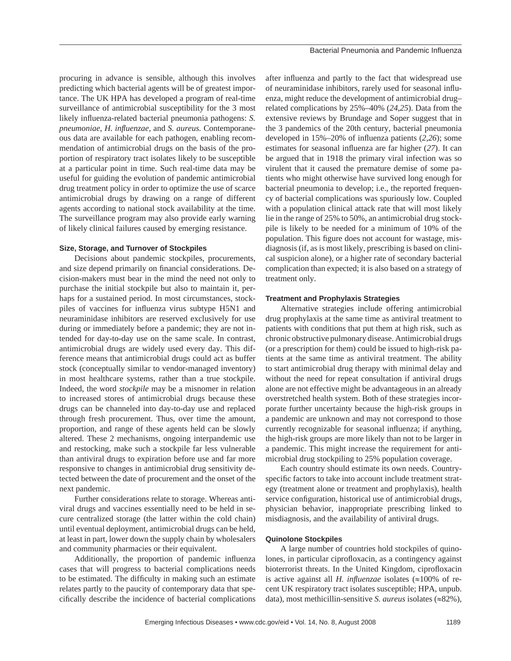procuring in advance is sensible, although this involves predicting which bacterial agents will be of greatest importance. The UK HPA has developed a program of real-time surveillance of antimicrobial susceptibility for the 3 most likely influenza-related bacterial pneumonia pathogens: *S*. *pneumoniae*, *H. infl uenzae,* and *S. aureus.* Contemporaneous data are available for each pathogen, enabling recommendation of antimicrobial drugs on the basis of the proportion of respiratory tract isolates likely to be susceptible at a particular point in time. Such real-time data may be useful for guiding the evolution of pandemic antimicrobial drug treatment policy in order to optimize the use of scarce antimicrobial drugs by drawing on a range of different agents according to national stock availability at the time. The surveillance program may also provide early warning of likely clinical failures caused by emerging resistance.

## **Size, Storage, and Turnover of Stockpiles**

Decisions about pandemic stockpiles, procurements, and size depend primarily on financial considerations. Decision-makers must bear in the mind the need not only to purchase the initial stockpile but also to maintain it, perhaps for a sustained period. In most circumstances, stockpiles of vaccines for influenza virus subtype H5N1 and neuraminidase inhibitors are reserved exclusively for use during or immediately before a pandemic; they are not intended for day-to-day use on the same scale. In contrast, antimicrobial drugs are widely used every day. This difference means that antimicrobial drugs could act as buffer stock (conceptually similar to vendor-managed inventory) in most healthcare systems, rather than a true stockpile. Indeed, the word *stockpile* may be a misnomer in relation to increased stores of antimicrobial drugs because these drugs can be channeled into day-to-day use and replaced through fresh procurement. Thus, over time the amount, proportion, and range of these agents held can be slowly altered. These 2 mechanisms, ongoing interpandemic use and restocking, make such a stockpile far less vulnerable than antiviral drugs to expiration before use and far more responsive to changes in antimicrobial drug sensitivity detected between the date of procurement and the onset of the next pandemic.

Further considerations relate to storage. Whereas antiviral drugs and vaccines essentially need to be held in secure centralized storage (the latter within the cold chain) until eventual deployment, antimicrobial drugs can be held, at least in part, lower down the supply chain by wholesalers and community pharmacies or their equivalent.

Additionally, the proportion of pandemic influenza cases that will progress to bacterial complications needs to be estimated. The difficulty in making such an estimate relates partly to the paucity of contemporary data that specifically describe the incidence of bacterial complications

after influenza and partly to the fact that widespread use of neuraminidase inhibitors, rarely used for seasonal influenza, might reduce the development of antimicrobial drug– related complications by 25%–40% (*24*,*25*). Data from the extensive reviews by Brundage and Soper suggest that in the 3 pandemics of the 20th century, bacterial pneumonia developed in  $15\% - 20\%$  of influenza patients  $(2,26)$ ; some estimates for seasonal influenza are far higher (27). It can be argued that in 1918 the primary viral infection was so virulent that it caused the premature demise of some patients who might otherwise have survived long enough for bacterial pneumonia to develop; i.e., the reported frequency of bacterial complications was spuriously low. Coupled with a population clinical attack rate that will most likely lie in the range of 25% to 50%, an antimicrobial drug stockpile is likely to be needed for a minimum of 10% of the population. This figure does not account for wastage, misdiagnosis (if, as is most likely, prescribing is based on clinical suspicion alone), or a higher rate of secondary bacterial complication than expected; it is also based on a strategy of treatment only.

## **Treatment and Prophylaxis Strategies**

Alternative strategies include offering antimicrobial drug prophylaxis at the same time as antiviral treatment to patients with conditions that put them at high risk, such as chronic obstructive pulmonary disease. Antimicrobial drugs (or a prescription for them) could be issued to high-risk patients at the same time as antiviral treatment. The ability to start antimicrobial drug therapy with minimal delay and without the need for repeat consultation if antiviral drugs alone are not effective might be advantageous in an already overstretched health system. Both of these strategies incorporate further uncertainty because the high-risk groups in a pandemic are unknown and may not correspond to those currently recognizable for seasonal influenza; if anything, the high-risk groups are more likely than not to be larger in a pandemic. This might increase the requirement for antimicrobial drug stockpiling to 25% population coverage.

Each country should estimate its own needs. Countryspecific factors to take into account include treatment strategy (treatment alone or treatment and prophylaxis), health service configuration, historical use of antimicrobial drugs, physician behavior, inappropriate prescribing linked to misdiagnosis, and the availability of antiviral drugs.

## **Quinolone Stockpiles**

A large number of countries hold stockpiles of quinolones, in particular ciprofloxacin, as a contingency against bioterrorist threats. In the United Kingdom, ciprofloxacin is active against all *H. influenzae* isolates  $(\approx 100\% \text{ of }$  recent UK respiratory tract isolates susceptible; HPA, unpub. data), most methicillin-sensitive *S. aureus* isolates (≈82%),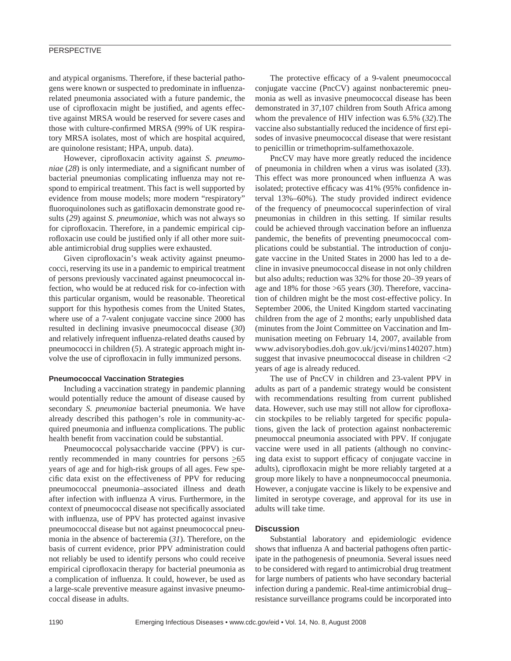# **PERSPECTIVE**

and atypical organisms. Therefore, if these bacterial pathogens were known or suspected to predominate in influenzarelated pneumonia associated with a future pandemic, the use of ciprofloxacin might be justified, and agents effective against MRSA would be reserved for severe cases and those with culture-confirmed MRSA (99% of UK respiratory MRSA isolates, most of which are hospital acquired, are quinolone resistant; HPA, unpub. data).

However, ciprofloxacin activity against *S. pneumoniae* (28) is only intermediate, and a significant number of bacterial pneumonias complicating influenza may not respond to empirical treatment. This fact is well supported by evidence from mouse models; more modern "respiratory" fluoroquinolones such as gatifloxacin demonstrate good results (*29*) against *S. pneumoniae,* which was not always so for ciprofloxacin. Therefore, in a pandemic empirical ciprofloxacin use could be justified only if all other more suitable antimicrobial drug supplies were exhausted.

Given ciprofloxacin's weak activity against pneumococci, reserving its use in a pandemic to empirical treatment of persons previously vaccinated against pneumococcal infection, who would be at reduced risk for co-infection with this particular organism, would be reasonable. Theoretical support for this hypothesis comes from the United States, where use of a 7-valent conjugate vaccine since 2000 has resulted in declining invasive pneumococcal disease (*30*) and relatively infrequent influenza-related deaths caused by pneumococci in children (*5*). A strategic approach might involve the use of ciprofloxacin in fully immunized persons.

#### **Pneumococcal Vaccination Strategies**

Including a vaccination strategy in pandemic planning would potentially reduce the amount of disease caused by secondary *S. pneumoniae* bacterial pneumonia. We have already described this pathogen's role in community-acquired pneumonia and influenza complications. The public health benefit from vaccination could be substantial.

Pneumococcal polysaccharide vaccine (PPV) is currently recommended in many countries for persons  $\geq 65$ years of age and for high-risk groups of all ages. Few specific data exist on the effectiveness of PPV for reducing pneumococcal pneumonia–associated illness and death after infection with influenza A virus. Furthermore, in the context of pneumococcal disease not specifically associated with influenza, use of PPV has protected against invasive pneumococcal disease but not against pneumococcal pneumonia in the absence of bacteremia (*31*). Therefore, on the basis of current evidence, prior PPV administration could not reliably be used to identify persons who could receive empirical ciprofloxacin therapy for bacterial pneumonia as a complication of influenza. It could, however, be used as a large-scale preventive measure against invasive pneumococcal disease in adults.

The protective efficacy of a 9-valent pneumococcal conjugate vaccine (PncCV) against nonbacteremic pneumonia as well as invasive pneumococcal disease has been demonstrated in 37,107 children from South Africa among whom the prevalence of HIV infection was 6.5% (*32*).The vaccine also substantially reduced the incidence of first episodes of invasive pneumococcal disease that were resistant to penicillin or trimethoprim-sulfamethoxazole.

PncCV may have more greatly reduced the incidence of pneumonia in children when a virus was isolated (*33*). This effect was more pronounced when influenza A was isolated; protective efficacy was 41% (95% confidence interval 13%–60%). The study provided indirect evidence of the frequency of pneumococcal superinfection of viral pneumonias in children in this setting. If similar results could be achieved through vaccination before an influenza pandemic, the benefits of preventing pneumococcal complications could be substantial. The introduction of conjugate vaccine in the United States in 2000 has led to a decline in invasive pneumococcal disease in not only children but also adults; reduction was 32% for those 20–39 years of age and 18% for those >65 years (*30*). Therefore, vaccination of children might be the most cost-effective policy. In September 2006, the United Kingdom started vaccinating children from the age of 2 months; early unpublished data (minutes from the Joint Committee on Vaccination and Immunisation meeting on February 14, 2007, available from www.advisorybodies.doh.gov.uk/jcvi/mins140207.htm) suggest that invasive pneumococcal disease in children <2 years of age is already reduced.

The use of PncCV in children and 23-valent PPV in adults as part of a pandemic strategy would be consistent with recommendations resulting from current published data. However, such use may still not allow for ciprofloxacin stockpiles to be reliably targeted for specific populations, given the lack of protection against nonbacteremic pneumoccal pneumonia associated with PPV. If conjugate vaccine were used in all patients (although no convincing data exist to support efficacy of conjugate vaccine in adults), ciprofloxacin might be more reliably targeted at a group more likely to have a nonpneumococcal pneumonia. However, a conjugate vaccine is likely to be expensive and limited in serotype coverage, and approval for its use in adults will take time.

#### **Discussion**

Substantial laboratory and epidemiologic evidence shows that influenza A and bacterial pathogens often participate in the pathogenesis of pneumonia. Several issues need to be considered with regard to antimicrobial drug treatment for large numbers of patients who have secondary bacterial infection during a pandemic. Real-time antimicrobial drug– resistance surveillance programs could be incorporated into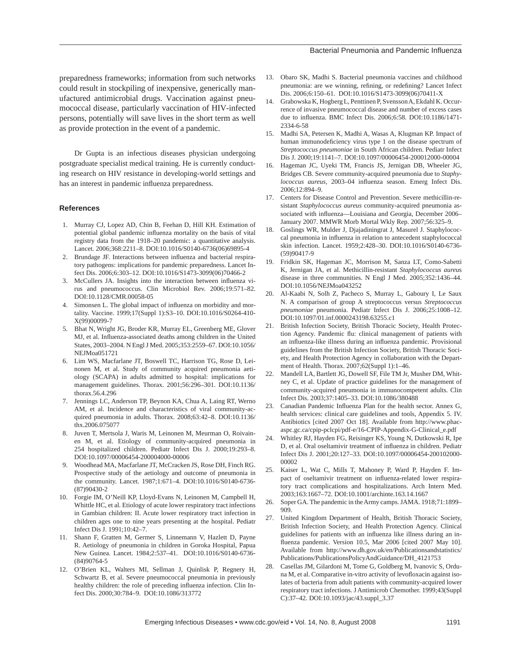#### Bacterial Pneumonia and Pandemic Influenza

preparedness frameworks; information from such networks could result in stockpiling of inexpensive, generically manufactured antimicrobial drugs. Vaccination against pneumococcal disease, particularly vaccination of HIV-infected persons, potentially will save lives in the short term as well as provide protection in the event of a pandemic.

Dr Gupta is an infectious diseases physician undergoing postgraduate specialist medical training. He is currently conducting research on HIV resistance in developing-world settings and has an interest in pandemic influenza preparedness.

#### **References**

- 1. Murray CJ, Lopez AD, Chin B, Feehan D, Hill KH. Estimation of potential global pandemic influenza mortality on the basis of vital registry data from the 1918–20 pandemic: a quantitative analysis. Lancet. 2006;368:2211–8. DOI:10.1016/S0140-6736(06)69895-4
- 2. Brundage JF. Interactions between influenza and bacterial respiratory pathogens: implications for pandemic preparedness. Lancet Infect Dis. 2006;6:303–12. DOI:10.1016/S1473-3099(06)70466-2
- 3. McCullers JA. Insights into the interaction between influenza virus and pneumococcus. Clin Microbiol Rev. 2006;19:571–82. DOI:10.1128/CMR.00058-05
- 4. Simonsen L. The global impact of influenza on morbidity and mortality. Vaccine. 1999;17(Suppl 1):S3–10. DOI:10.1016/S0264-410- X(99)00099-7
- 5. Bhat N, Wright JG, Broder KR, Murray EL, Greenberg ME, Glover MJ, et al. Influenza-associated deaths among children in the United States, 2003–2004. N Engl J Med. 2005;353:2559–67. DOI:10.1056/ NEJMoa051721
- 6. Lim WS, Macfarlane JT, Boswell TC, Harrison TG, Rose D, Leinonen M, et al. Study of community acquired pneumonia aetiology (SCAPA) in adults admitted to hospital: implications for management guidelines. Thorax. 2001;56:296–301. DOI:10.1136/ thorax.56.4.296
- 7. Jennings LC, Anderson TP, Beynon KA, Chua A, Laing RT, Werno AM, et al. Incidence and characteristics of viral community-acquired pneumonia in adults. Thorax. 2008;63:42–8. DOI:10.1136/ thx.2006.075077
- 8. Juven T, Mertsola J, Waris M, Leinonen M, Meurman O, Roivainen M, et al. Etiology of community-acquired pneumonia in 254 hospitalized children. Pediatr Infect Dis J. 2000;19:293–8. DOI:10.1097/00006454-200004000-00006
- 9. Woodhead MA, Macfarlane JT, McCracken JS, Rose DH, Finch RG. Prospective study of the aetiology and outcome of pneumonia in the community. Lancet. 1987;1:671–4. DOI:10.1016/S0140-6736- (87)90430-2
- 10. Forgie IM, O'Neill KP, Lloyd-Evans N, Leinonen M, Campbell H, Whittle HC, et al. Etiology of acute lower respiratory tract infections in Gambian children: II. Acute lower respiratory tract infection in children ages one to nine years presenting at the hospital. Pediatr Infect Dis J. 1991;10:42–7.
- 11. Shann F, Gratten M, Germer S, Linnemann V, Hazlett D, Payne R. Aetiology of pneumonia in children in Goroka Hospital, Papua New Guinea. Lancet. 1984;2:537–41. DOI:10.1016/S0140-6736- (84)90764-5
- 12. O'Brien KL, Walters MI, Sellman J, Quinlisk P, Regnery H, Schwartz B, et al. Severe pneumococcal pneumonia in previously healthy children: the role of preceding influenza infection. Clin Infect Dis. 2000;30:784–9. DOI:10.1086/313772
- 13. Obaro SK, Madhi S. Bacterial pneumonia vaccines and childhood pneumonia: are we winning, refining, or redefining? Lancet Infect Dis. 2006;6:150–61. DOI:10.1016/S1473-3099(06)70411-X
- 14. Grabowska K, Hogberg L, Penttinen P, Svensson A, Ekdahl K. Occurrence of invasive pneumococcal disease and number of excess cases due to influenza. BMC Infect Dis. 2006;6:58. DOI:10.1186/1471-2334-6-58
- 15. Madhi SA, Petersen K, Madhi A, Wasas A, Klugman KP. Impact of human immunodeficiency virus type 1 on the disease spectrum of *Streptococcus pneumoniae* in South African children. Pediatr Infect Dis J. 2000;19:1141–7. DOI:10.1097/00006454-200012000-00004
- 16. Hageman JC, Uyeki TM, Francis JS, Jernigan DB, Wheeler JG, Bridges CB. Severe community-acquired pneumonia due to *Staphylococcus aureus, 2003-04 influenza season. Emerg Infect Dis.* 2006;12:894–9.
- 17. Centers for Disease Control and Prevention. Severe methicillin-resistant *Staphylococcus aureus* community-acquired pneumonia associated with influenza—Louisiana and Georgia, December 2006– January 2007. MMWR Morb Mortal Wkly Rep. 2007;56:325–9.
- 18. Goslings WR, Mulder J, Djajadiningrat J, Masurel J. Staphylococcal pneumonia in influenza in relation to antecedent staphylococcal skin infection. Lancet. 1959;2:428–30. DOI:10.1016/S0140-6736- (59)90417-9
- 19. Fridkin SK, Hageman JC, Morrison M, Sanza LT, Como-Sabetti K, Jernigan JA, et al. Methicillin-resistant *Staphylococcus aureu*s disease in three communities. N Engl J Med. 2005;352:1436–44. DOI:10.1056/NEJMoa043252
- 20. Al-Kaabi N, Solh Z, Pacheco S, Murray L, Gaboury I, Le Saux N. A comparison of group A streptococcus versus *Streptococcus pneumoniae* pneumonia. Pediatr Infect Dis J. 2006;25:1008–12. DOI:10.1097/01.inf.0000243198.63255.c1
- 21. British Infection Society, British Thoracic Society, Health Protection Agency. Pandemic flu: clinical management of patients with an influenza-like illness during an influenza pandemic. Provisional guidelines from the British Infection Society, British Thoracic Society, and Health Protection Agency in collaboration with the Department of Health. Thorax. 2007;62(Suppl 1):1–46.
- 22. Mandell LA, Bartlett JG, Dowell SF, File TM Jr, Musher DM, Whitney C, et al. Update of practice guidelines for the management of community-acquired pneumonia in immunocompetent adults. Clin Infect Dis. 2003;37:1405–33. DOI:10.1086/380488
- 23. Canadian Pandemic Influenza Plan for the health sector. Annex G, health services: clinical care guidelines and tools, Appendix 5. IV. Antibiotics [cited 2007 Oct 18]. Available from http://www.phacaspc.gc.ca/cpip-pclcpi/pdf-e/16-CPIP-Appendix-G-Clinical\_e.pdf
- 24. Whitley RJ, Hayden FG, Reisinger KS, Young N, Dutkowski R, Ipe D, et al. Oral oseltamivir treatment of influenza in children. Pediatr Infect Dis J. 2001;20:127–33. DOI:10.1097/00006454-200102000- 00002
- 25. Kaiser L, Wat C, Mills T, Mahoney P, Ward P, Hayden F. Impact of oseltamivir treatment on influenza-related lower respiratory tract complications and hospitalizations. Arch Intern Med. 2003;163:1667–72. DOI:10.1001/archinte.163.14.1667
- 26. Soper GA. The pandemic in the Army camps. JAMA. 1918;71:1899– 909.
- 27. United Kingdom Department of Health, British Thoracic Society, British Infection Society, and Health Protection Agency. Clinical guidelines for patients with an influenza like illness during an influenza pandemic. Version 10.5, Mar 2006 [cited 2007 May 10]. Available from http://www.dh.gov.uk/en/Publicationsandstatistics/ Publications/PublicationsPolicyAndGuidance/DH\_4121753
- Casellas JM, Gilardoni M, Tome G, Goldberg M, Ivanovic S, Orduna M, et al. Comparative in-vitro activity of levofloxacin against isolates of bacteria from adult patients with community-acquired lower respiratory tract infections. J Antimicrob Chemother. 1999;43(Suppl C):37–42. DOI:10.1093/jac/43.suppl\_3.37